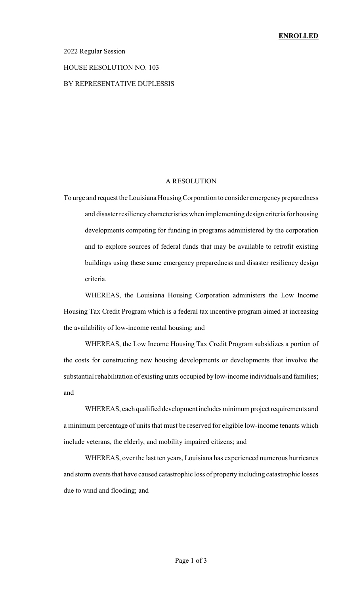## 2022 Regular Session

#### HOUSE RESOLUTION NO. 103

## BY REPRESENTATIVE DUPLESSIS

#### A RESOLUTION

To urge and request the Louisiana HousingCorporation to consider emergency preparedness and disaster resiliencycharacteristics when implementing design criteria for housing developments competing for funding in programs administered by the corporation and to explore sources of federal funds that may be available to retrofit existing buildings using these same emergency preparedness and disaster resiliency design criteria.

WHEREAS, the Louisiana Housing Corporation administers the Low Income Housing Tax Credit Program which is a federal tax incentive program aimed at increasing the availability of low-income rental housing; and

WHEREAS, the Low Income Housing Tax Credit Program subsidizes a portion of the costs for constructing new housing developments or developments that involve the substantial rehabilitation of existing units occupied by low-income individuals and families; and

WHEREAS, each qualified development includes minimum project requirements and a minimum percentage of units that must be reserved for eligible low-income tenants which include veterans, the elderly, and mobility impaired citizens; and

WHEREAS, over the last ten years, Louisiana has experienced numerous hurricanes and storm events that have caused catastrophic loss of property including catastrophic losses due to wind and flooding; and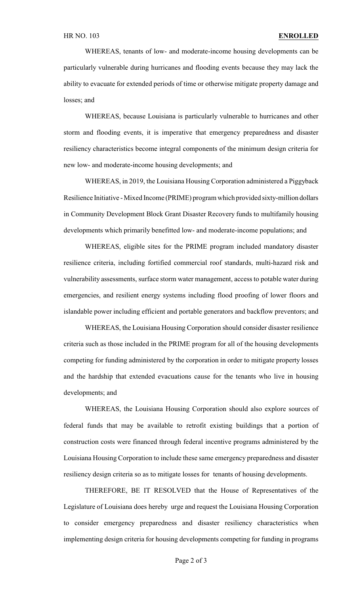WHEREAS, tenants of low- and moderate-income housing developments can be particularly vulnerable during hurricanes and flooding events because they may lack the ability to evacuate for extended periods of time or otherwise mitigate property damage and losses; and

WHEREAS, because Louisiana is particularly vulnerable to hurricanes and other storm and flooding events, it is imperative that emergency preparedness and disaster resiliency characteristics become integral components of the minimum design criteria for new low- and moderate-income housing developments; and

WHEREAS, in 2019, the Louisiana Housing Corporation administered a Piggyback Resilience Initiative -Mixed Income (PRIME) program which provided sixty-million dollars in Community Development Block Grant Disaster Recovery funds to multifamily housing developments which primarily benefitted low- and moderate-income populations; and

WHEREAS, eligible sites for the PRIME program included mandatory disaster resilience criteria, including fortified commercial roof standards, multi-hazard risk and vulnerability assessments, surface storm water management, access to potable water during emergencies, and resilient energy systems including flood proofing of lower floors and islandable power including efficient and portable generators and backflow preventors; and

WHEREAS, the Louisiana Housing Corporation should consider disaster resilience criteria such as those included in the PRIME program for all of the housing developments competing for funding administered by the corporation in order to mitigate property losses and the hardship that extended evacuations cause for the tenants who live in housing developments; and

WHEREAS, the Louisiana Housing Corporation should also explore sources of federal funds that may be available to retrofit existing buildings that a portion of construction costs were financed through federal incentive programs administered by the Louisiana Housing Corporation to include these same emergency preparedness and disaster resiliency design criteria so as to mitigate losses for tenants of housing developments.

THEREFORE, BE IT RESOLVED that the House of Representatives of the Legislature of Louisiana does hereby urge and request the Louisiana Housing Corporation to consider emergency preparedness and disaster resiliency characteristics when implementing design criteria for housing developments competing for funding in programs